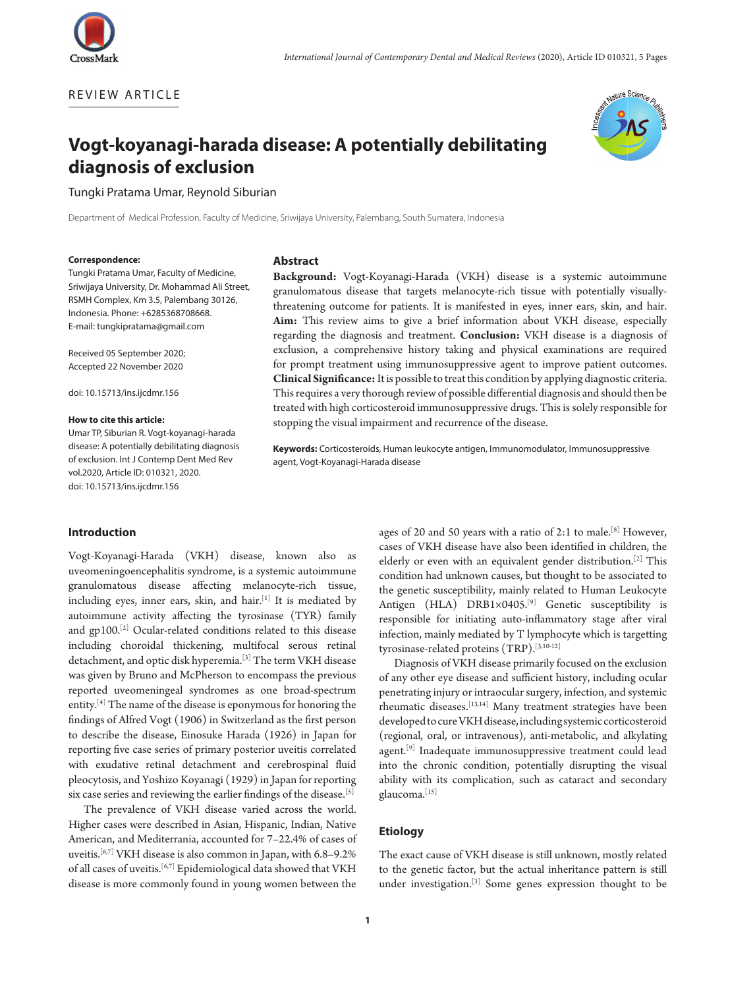

REVIEW ARTICLE



# **Vogt-koyanagi-harada disease: A potentially debilitating diagnosis of exclusion**

Tungki Pratama Umar, Reynold Siburian

Department of Medical Profession, Faculty of Medicine, Sriwijaya University, Palembang, South Sumatera, Indonesia

#### **Correspondence:**

Tungki Pratama Umar, Faculty of Medicine, Sriwijaya University, Dr. Mohammad Ali Street, RSMH Complex, Km 3.5, Palembang 30126, Indonesia. Phone: +6285368708668. E-mail: tungkipratama@gmail.com

Received 05 September 2020; Accepted 22 November 2020

doi: 10.15713/ins.ijcdmr.156

### **How to cite this article:**

Umar TP, Siburian R. Vogt-koyanagi-harada disease: A potentially debilitating diagnosis of exclusion. Int J Contemp Dent Med Rev vol.2020, Article ID: 010321, 2020. doi: 10.15713/ins.ijcdmr.156

# **Abstract**

**Background:** Vogt-Koyanagi-Harada (VKH) disease is a systemic autoimmune granulomatous disease that targets melanocyte-rich tissue with potentially visuallythreatening outcome for patients. It is manifested in eyes, inner ears, skin, and hair. **Aim:** This review aims to give a brief information about VKH disease, especially regarding the diagnosis and treatment. **Conclusion:** VKH disease is a diagnosis of exclusion, a comprehensive history taking and physical examinations are required for prompt treatment using immunosuppressive agent to improve patient outcomes. **Clinical Significance:** It is possible to treat this condition by applying diagnostic criteria. This requires a very thorough review of possible differential diagnosis and should then be treated with high corticosteroid immunosuppressive drugs. This is solely responsible for stopping the visual impairment and recurrence of the disease.

**Keywords:** Corticosteroids, Human leukocyte antigen, Immunomodulator, Immunosuppressive agent, Vogt-Koyanagi-Harada disease

# **Introduction**

Vogt-Koyanagi-Harada (VKH) disease, known also as uveomeningoencephalitis syndrome, is a systemic autoimmune granulomatous disease affecting melanocyte-rich tissue, including eyes, inner ears, skin, and hair.[1] It is mediated by autoimmune activity affecting the tyrosinase (TYR) family and gp100.[2] Ocular-related conditions related to this disease including choroidal thickening, multifocal serous retinal detachment, and optic disk hyperemia.[3] The term VKH disease was given by Bruno and McPherson to encompass the previous reported uveomeningeal syndromes as one broad-spectrum entity.[4] The name of the disease is eponymous for honoring the findings of Alfred Vogt (1906) in Switzerland as the first person to describe the disease, Einosuke Harada (1926) in Japan for reporting five case series of primary posterior uveitis correlated with exudative retinal detachment and cerebrospinal fluid pleocytosis, and Yoshizo Koyanagi (1929) in Japan for reporting six case series and reviewing the earlier findings of the disease.<sup>[5]</sup>

The prevalence of VKH disease varied across the world. Higher cases were described in Asian, Hispanic, Indian, Native American, and Mediterrania, accounted for 7–22.4% of cases of uveitis.[6,7] VKH disease is also common in Japan, with 6.8–9.2% of all cases of uveitis.[6,7] Epidemiological data showed that VKH disease is more commonly found in young women between the

ages of 20 and 50 years with a ratio of 2:1 to male.<sup>[8]</sup> However, cases of VKH disease have also been identified in children, the elderly or even with an equivalent gender distribution.[2] This condition had unknown causes, but thought to be associated to the genetic susceptibility, mainly related to Human Leukocyte Antigen (HLA) DRB1×0405.[9] Genetic susceptibility is responsible for initiating auto-inflammatory stage after viral infection, mainly mediated by T lymphocyte which is targetting tyrosinase-related proteins (TRP).[3,10-12]

Diagnosis of VKH disease primarily focused on the exclusion of any other eye disease and sufficient history, including ocular penetrating injury or intraocular surgery, infection, and systemic rheumatic diseases.[13,14] Many treatment strategies have been developed to cure VKH disease, including systemic corticosteroid (regional, oral, or intravenous), anti-metabolic, and alkylating agent.<sup>[9]</sup> Inadequate immunosuppressive treatment could lead into the chronic condition, potentially disrupting the visual ability with its complication, such as cataract and secondary glaucoma.[15]

## **Etiology**

The exact cause of VKH disease is still unknown, mostly related to the genetic factor, but the actual inheritance pattern is still under investigation.[3] Some genes expression thought to be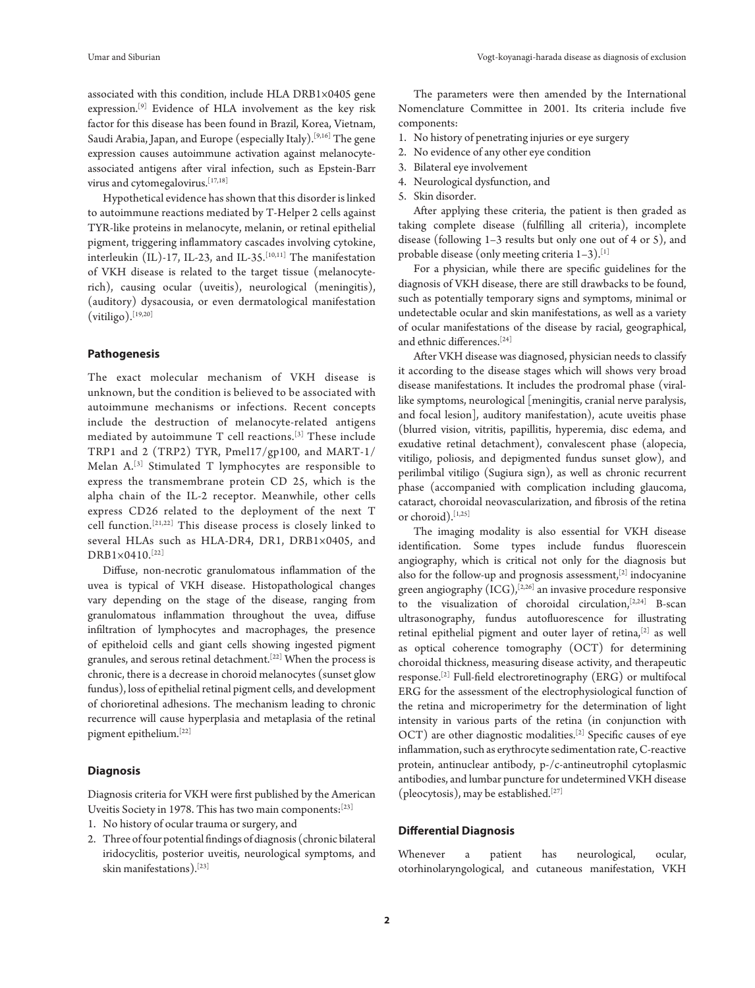associated with this condition, include HLA DRB1×0405 gene expression.[9] Evidence of HLA involvement as the key risk factor for this disease has been found in Brazil, Korea, Vietnam, Saudi Arabia, Japan, and Europe (especially Italy).<sup>[9,16]</sup> The gene expression causes autoimmune activation against melanocyteassociated antigens after viral infection, such as Epstein-Barr virus and cytomegalovirus.[17,18]

Hypothetical evidence has shown that this disorder is linked to autoimmune reactions mediated by T-Helper 2 cells against TYR-like proteins in melanocyte, melanin, or retinal epithelial pigment, triggering inflammatory cascades involving cytokine, interleukin (IL)-17, IL-23, and IL-35.<sup>[10,11]</sup> The manifestation of VKH disease is related to the target tissue (melanocyterich), causing ocular (uveitis), neurological (meningitis), (auditory) dysacousia, or even dermatological manifestation  $(vitiligo).$ [19,20]

#### **Pathogenesis**

The exact molecular mechanism of VKH disease is unknown, but the condition is believed to be associated with autoimmune mechanisms or infections. Recent concepts include the destruction of melanocyte-related antigens mediated by autoimmune T cell reactions.[3] These include TRP1 and 2 (TRP2) TYR, Pmel17/gp100, and MART-1/ Melan A.[3] Stimulated T lymphocytes are responsible to express the transmembrane protein CD 25, which is the alpha chain of the IL-2 receptor. Meanwhile, other cells express CD26 related to the deployment of the next T cell function.[21,22] This disease process is closely linked to several HLAs such as HLA-DR4, DR1, DRB1×0405, and DRB1×0410.[22]

Diffuse, non-necrotic granulomatous inflammation of the uvea is typical of VKH disease. Histopathological changes vary depending on the stage of the disease, ranging from granulomatous inflammation throughout the uvea, diffuse infiltration of lymphocytes and macrophages, the presence of epitheloid cells and giant cells showing ingested pigment granules, and serous retinal detachment.[22] When the process is chronic, there is a decrease in choroid melanocytes (sunset glow fundus), loss of epithelial retinal pigment cells, and development of chorioretinal adhesions. The mechanism leading to chronic recurrence will cause hyperplasia and metaplasia of the retinal pigment epithelium.[22]

# **Diagnosis**

Diagnosis criteria for VKH were first published by the American Uveitis Society in 1978. This has two main components:<sup>[23]</sup>

- 1. No history of ocular trauma or surgery, and
- 2. Three of four potential findings of diagnosis (chronic bilateral iridocyclitis, posterior uveitis, neurological symptoms, and skin manifestations).[23]

The parameters were then amended by the International Nomenclature Committee in 2001. Its criteria include five components:

- 1. No history of penetrating injuries or eye surgery
- 2. No evidence of any other eye condition
- 3. Bilateral eye involvement
- 4. Neurological dysfunction, and
- 5. Skin disorder.

After applying these criteria, the patient is then graded as taking complete disease (fulfilling all criteria), incomplete disease (following 1–3 results but only one out of 4 or 5), and probable disease (only meeting criteria  $1-3$ ).<sup>[1]</sup>

For a physician, while there are specific guidelines for the diagnosis of VKH disease, there are still drawbacks to be found, such as potentially temporary signs and symptoms, minimal or undetectable ocular and skin manifestations, as well as a variety of ocular manifestations of the disease by racial, geographical, and ethnic differences.[24]

After VKH disease was diagnosed, physician needs to classify it according to the disease stages which will shows very broad disease manifestations. It includes the prodromal phase (virallike symptoms, neurological [meningitis, cranial nerve paralysis, and focal lesion], auditory manifestation), acute uveitis phase (blurred vision, vitritis, papillitis, hyperemia, disc edema, and exudative retinal detachment), convalescent phase (alopecia, vitiligo, poliosis, and depigmented fundus sunset glow), and perilimbal vitiligo (Sugiura sign), as well as chronic recurrent phase (accompanied with complication including glaucoma, cataract, choroidal neovascularization, and fibrosis of the retina or choroid).[1,25]

The imaging modality is also essential for VKH disease identification. Some types include fundus fluorescein angiography, which is critical not only for the diagnosis but also for the follow-up and prognosis assessment,<sup>[2]</sup> indocyanine green angiography  $(ICG)$ ,  $[2,26]$  an invasive procedure responsive to the visualization of choroidal circulation,  $[2,24]$  B-scan ultrasonography, fundus autofluorescence for illustrating retinal epithelial pigment and outer layer of retina,[2] as well as optical coherence tomography (OCT) for determining choroidal thickness, measuring disease activity, and therapeutic response.[2] Full-field electroretinography (ERG) or multifocal ERG for the assessment of the electrophysiological function of the retina and microperimetry for the determination of light intensity in various parts of the retina (in conjunction with OCT) are other diagnostic modalities.<sup>[2]</sup> Specific causes of eye inflammation, such as erythrocyte sedimentation rate, C-reactive protein, antinuclear antibody, p-/c-antineutrophil cytoplasmic antibodies, and lumbar puncture for undetermined VKH disease (pleocytosis), may be established.<sup>[27]</sup>

# **Differential Diagnosis**

Whenever a patient has neurological, ocular, otorhinolaryngological, and cutaneous manifestation, VKH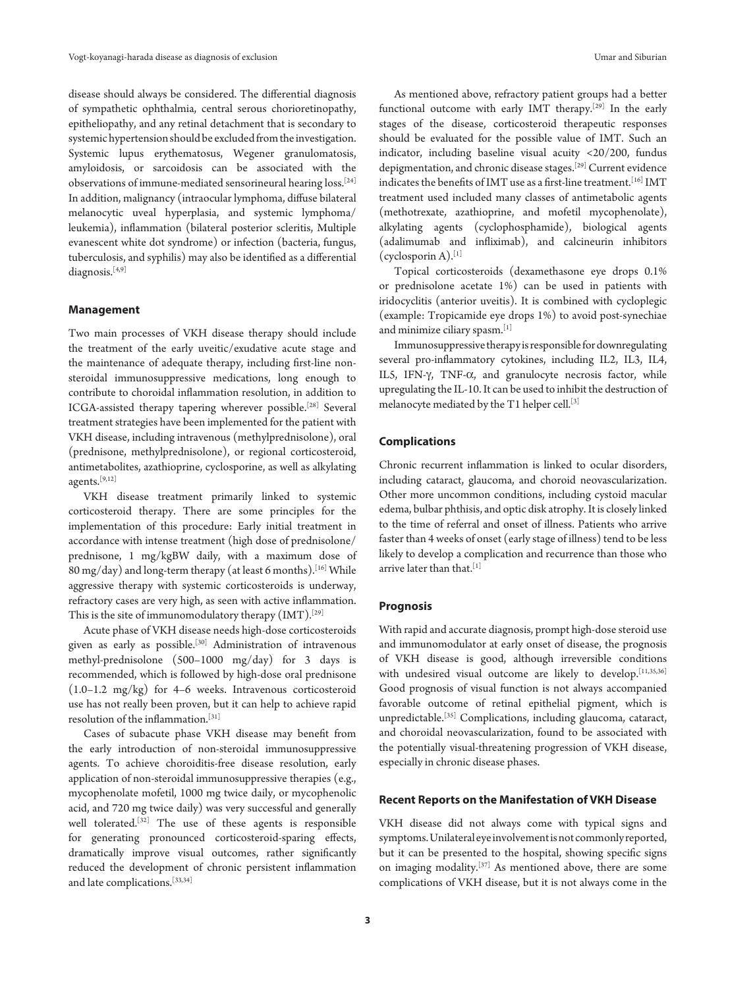disease should always be considered. The differential diagnosis of sympathetic ophthalmia, central serous chorioretinopathy, epitheliopathy, and any retinal detachment that is secondary to systemic hypertension should be excluded from the investigation. Systemic lupus erythematosus, Wegener granulomatosis, amyloidosis, or sarcoidosis can be associated with the observations of immune-mediated sensorineural hearing loss.[24] In addition, malignancy (intraocular lymphoma, diffuse bilateral melanocytic uveal hyperplasia, and systemic lymphoma/ leukemia), inflammation (bilateral posterior scleritis, Multiple evanescent white dot syndrome) or infection (bacteria, fungus, tuberculosis, and syphilis) may also be identified as a differential diagnosis.<sup>[4,9]</sup>

# **Management**

Two main processes of VKH disease therapy should include the treatment of the early uveitic/exudative acute stage and the maintenance of adequate therapy, including first-line nonsteroidal immunosuppressive medications, long enough to contribute to choroidal inflammation resolution, in addition to ICGA-assisted therapy tapering wherever possible.[28] Several treatment strategies have been implemented for the patient with VKH disease, including intravenous (methylprednisolone), oral (prednisone, methylprednisolone), or regional corticosteroid, antimetabolites, azathioprine, cyclosporine, as well as alkylating agents.[9,12]

VKH disease treatment primarily linked to systemic corticosteroid therapy. There are some principles for the implementation of this procedure: Early initial treatment in accordance with intense treatment (high dose of prednisolone/ prednisone, 1 mg/kgBW daily, with a maximum dose of  $80 \,\rm{mg/day})$  and long-term therapy (at least 6 months). [16] While aggressive therapy with systemic corticosteroids is underway, refractory cases are very high, as seen with active inflammation. This is the site of immunomodulatory therapy  $(MT)$ .<sup>[29]</sup>

Acute phase of VKH disease needs high-dose corticosteroids given as early as possible.<sup>[30]</sup> Administration of intravenous methyl-prednisolone (500–1000 mg/day) for 3 days is recommended, which is followed by high-dose oral prednisone (1.0–1.2 mg/kg) for 4–6 weeks. Intravenous corticosteroid use has not really been proven, but it can help to achieve rapid resolution of the inflammation.[31]

Cases of subacute phase VKH disease may benefit from the early introduction of non-steroidal immunosuppressive agents. To achieve choroiditis-free disease resolution, early application of non-steroidal immunosuppressive therapies (e.g., mycophenolate mofetil, 1000 mg twice daily, or mycophenolic acid, and 720 mg twice daily) was very successful and generally well tolerated.[32] The use of these agents is responsible for generating pronounced corticosteroid-sparing effects, dramatically improve visual outcomes, rather significantly reduced the development of chronic persistent inflammation and late complications.[33,34]

As mentioned above, refractory patient groups had a better functional outcome with early IMT therapy.[29] In the early stages of the disease, corticosteroid therapeutic responses should be evaluated for the possible value of IMT. Such an indicator, including baseline visual acuity <20/200, fundus depigmentation, and chronic disease stages.[29] Current evidence indicates the benefits of IMT use as a first-line treatment.[16] IMT treatment used included many classes of antimetabolic agents (methotrexate, azathioprine, and mofetil mycophenolate), alkylating agents (cyclophosphamide), biological agents (adalimumab and infliximab), and calcineurin inhibitors  $(cyclosporin A).$ <sup>[1]</sup>

Topical corticosteroids (dexamethasone eye drops 0.1% or prednisolone acetate 1%) can be used in patients with iridocyclitis (anterior uveitis). It is combined with cycloplegic (example: Tropicamide eye drops 1%) to avoid post-synechiae and minimize ciliary spasm.[1]

Immunosuppressive therapy is responsible for downregulating several pro-inflammatory cytokines, including IL2, IL3, IL4, IL5, IFN-γ, TNF-α, and granulocyte necrosis factor, while upregulating the IL-10. It can be used to inhibit the destruction of melanocyte mediated by the T1 helper cell.[3]

# **Complications**

Chronic recurrent inflammation is linked to ocular disorders, including cataract, glaucoma, and choroid neovascularization. Other more uncommon conditions, including cystoid macular edema, bulbar phthisis, and optic disk atrophy. It is closely linked to the time of referral and onset of illness. Patients who arrive faster than 4 weeks of onset (early stage of illness) tend to be less likely to develop a complication and recurrence than those who arrive later than that.<sup>[1]</sup>

# **Prognosis**

With rapid and accurate diagnosis, prompt high-dose steroid use and immunomodulator at early onset of disease, the prognosis of VKH disease is good, although irreversible conditions with undesired visual outcome are likely to develop.<sup>[11,35,36]</sup> Good prognosis of visual function is not always accompanied favorable outcome of retinal epithelial pigment, which is unpredictable.[35] Complications, including glaucoma, cataract, and choroidal neovascularization, found to be associated with the potentially visual-threatening progression of VKH disease, especially in chronic disease phases.

#### **Recent Reports on the Manifestation of VKH Disease**

VKH disease did not always come with typical signs and symptoms. Unilateral eye involvement is not commonly reported, but it can be presented to the hospital, showing specific signs on imaging modality.[37] As mentioned above, there are some complications of VKH disease, but it is not always come in the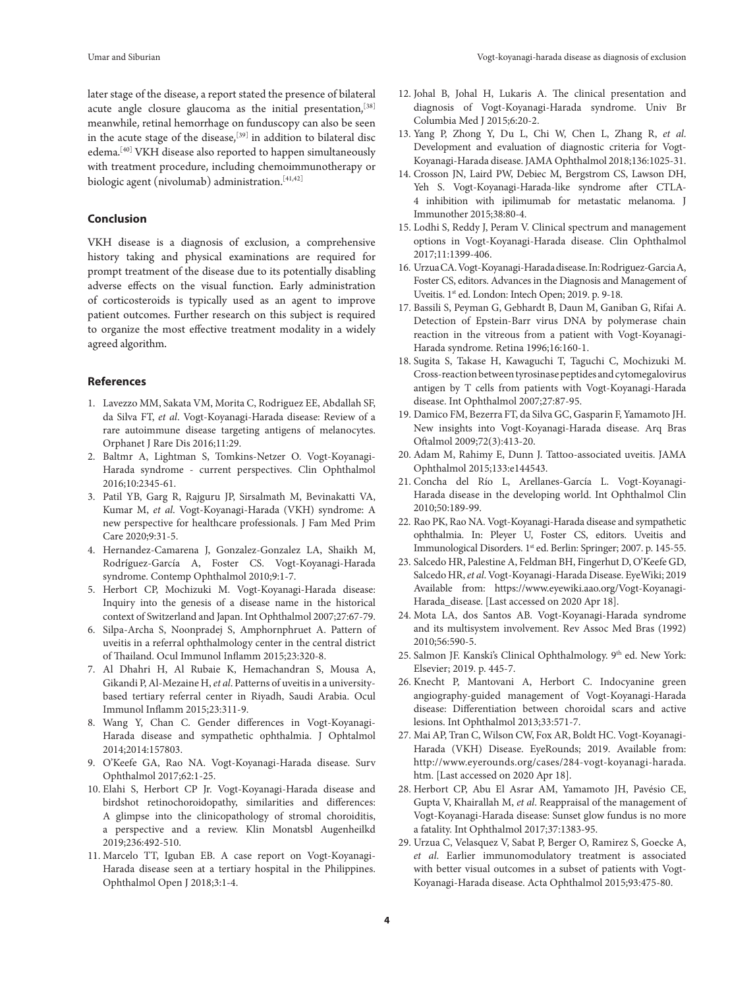later stage of the disease, a report stated the presence of bilateral acute angle closure glaucoma as the initial presentation,<sup>[38]</sup> meanwhile, retinal hemorrhage on funduscopy can also be seen in the acute stage of the disease,  $^{[39]}$  in addition to bilateral disc edema.[40] VKH disease also reported to happen simultaneously with treatment procedure, including chemoimmunotherapy or biologic agent (nivolumab) administration.[41,42]

# **Conclusion**

VKH disease is a diagnosis of exclusion, a comprehensive history taking and physical examinations are required for prompt treatment of the disease due to its potentially disabling adverse effects on the visual function. Early administration of corticosteroids is typically used as an agent to improve patient outcomes. Further research on this subject is required to organize the most effective treatment modality in a widely agreed algorithm.

# **References**

- 1. Lavezzo MM, Sakata VM, Morita C, Rodriguez EE, Abdallah SF, da Silva FT, *et al*. Vogt-Koyanagi-Harada disease: Review of a rare autoimmune disease targeting antigens of melanocytes. Orphanet J Rare Dis 2016;11:29.
- 2. Baltmr A, Lightman S, Tomkins-Netzer O. Vogt-Koyanagi-Harada syndrome - current perspectives. Clin Ophthalmol 2016;10:2345-61.
- 3. Patil YB, Garg R, Rajguru JP, Sirsalmath M, Bevinakatti VA, Kumar M, *et al*. Vogt-Koyanagi-Harada (VKH) syndrome: A new perspective for healthcare professionals. J Fam Med Prim Care 2020;9:31-5.
- 4. Hernandez-Camarena J, Gonzalez-Gonzalez LA, Shaikh M, Rodríguez-García A, Foster CS. Vogt-Koyanagi-Harada syndrome. Contemp Ophthalmol 2010;9:1-7.
- 5. Herbort CP, Mochizuki M. Vogt-Koyanagi-Harada disease: Inquiry into the genesis of a disease name in the historical context of Switzerland and Japan. Int Ophthalmol 2007;27:67-79.
- 6. Silpa-Archa S, Noonpradej S, Amphornphruet A. Pattern of uveitis in a referral ophthalmology center in the central district of Thailand. Ocul Immunol Inflamm 2015;23:320-8.
- 7. Al Dhahri H, Al Rubaie K, Hemachandran S, Mousa A, Gikandi P, Al-Mezaine H, *et al*. Patterns of uveitis in a universitybased tertiary referral center in Riyadh, Saudi Arabia. Ocul Immunol Inflamm 2015;23:311-9.
- 8. Wang Y, Chan C. Gender differences in Vogt-Koyanagi-Harada disease and sympathetic ophthalmia. J Ophtalmol 2014;2014:157803.
- 9. O'Keefe GA, Rao NA. Vogt-Koyanagi-Harada disease. Surv Ophthalmol 2017;62:1-25.
- 10. Elahi S, Herbort CP Jr. Vogt-Koyanagi-Harada disease and birdshot retinochoroidopathy, similarities and differences: A glimpse into the clinicopathology of stromal choroiditis, a perspective and a review. Klin Monatsbl Augenheilkd 2019;236:492-510.
- 11. Marcelo TT, Iguban EB. A case report on Vogt-Koyanagi-Harada disease seen at a tertiary hospital in the Philippines. Ophthalmol Open J 2018;3:1-4.
- 12. Johal B, Johal H, Lukaris A. The clinical presentation and diagnosis of Vogt-Koyanagi-Harada syndrome. Univ Br Columbia Med J 2015;6:20-2.
- 13. Yang P, Zhong Y, Du L, Chi W, Chen L, Zhang R, *et al*. Development and evaluation of diagnostic criteria for Vogt-Koyanagi-Harada disease. JAMA Ophthalmol 2018;136:1025-31.
- 14. Crosson JN, Laird PW, Debiec M, Bergstrom CS, Lawson DH, Yeh S. Vogt-Koyanagi-Harada-like syndrome after CTLA-4 inhibition with ipilimumab for metastatic melanoma. J Immunother 2015;38:80-4.
- 15. Lodhi S, Reddy J, Peram V. Clinical spectrum and management options in Vogt-Koyanagi-Harada disease. Clin Ophthalmol 2017;11:1399-406.
- 16. Urzua CA. Vogt-Koyanagi-Harada disease. In: Rodriguez-Garcia A, Foster CS, editors. Advances in the Diagnosis and Management of Uveitis. 1st ed. London: Intech Open; 2019. p. 9-18.
- 17. Bassili S, Peyman G, Gebhardt B, Daun M, Ganiban G, Rifai A. Detection of Epstein-Barr virus DNA by polymerase chain reaction in the vitreous from a patient with Vogt-Koyanagi-Harada syndrome. Retina 1996;16:160-1.
- 18. Sugita S, Takase H, Kawaguchi T, Taguchi C, Mochizuki M. Cross-reaction between tyrosinase peptides and cytomegalovirus antigen by T cells from patients with Vogt-Koyanagi-Harada disease. Int Ophthalmol 2007;27:87-95.
- 19. Damico FM, Bezerra FT, da Silva GC, Gasparin F, Yamamoto JH. New insights into Vogt-Koyanagi-Harada disease. Arq Bras Oftalmol 2009;72(3):413-20.
- 20. Adam M, Rahimy E, Dunn J. Tattoo-associated uveitis. JAMA Ophthalmol 2015;133:e144543.
- 21. Concha del Río L, Arellanes-García L. Vogt-Koyanagi-Harada disease in the developing world. Int Ophthalmol Clin 2010;50:189-99.
- 22. Rao PK, Rao NA. Vogt-Koyanagi-Harada disease and sympathetic ophthalmia. In: Pleyer U, Foster CS, editors. Uveitis and Immunological Disorders. 1st ed. Berlin: Springer; 2007. p. 145-55.
- 23. Salcedo HR, Palestine A, Feldman BH, Fingerhut D, O'Keefe GD, Salcedo HR, *et al*. Vogt-Koyanagi-Harada Disease. EyeWiki; 2019 Available from: https://www.eyewiki.aao.org/Vogt-Koyanagi-Harada\_disease. [Last accessed on 2020 Apr 18].
- 24. Mota LA, dos Santos AB. Vogt-Koyanagi-Harada syndrome and its multisystem involvement. Rev Assoc Med Bras (1992) 2010;56:590-5.
- 25. Salmon JF. Kanski's Clinical Ophthalmology. 9<sup>th</sup> ed. New York: Elsevier; 2019. p. 445-7.
- 26. Knecht P, Mantovani A, Herbort C. Indocyanine green angiography-guided management of Vogt-Koyanagi-Harada disease: Differentiation between choroidal scars and active lesions. Int Ophthalmol 2013;33:571-7.
- 27. Mai AP, Tran C, Wilson CW, Fox AR, Boldt HC. Vogt-Koyanagi-Harada (VKH) Disease. EyeRounds; 2019. Available from: http://www.eyerounds.org/cases/284-vogt-koyanagi-harada. htm. [Last accessed on 2020 Apr 18].
- 28. Herbort CP, Abu El Asrar AM, Yamamoto JH, Pavésio CE, Gupta V, Khairallah M, *et al*. Reappraisal of the management of Vogt-Koyanagi-Harada disease: Sunset glow fundus is no more a fatality. Int Ophthalmol 2017;37:1383-95.
- 29. Urzua C, Velasquez V, Sabat P, Berger O, Ramirez S, Goecke A, *et al*. Earlier immunomodulatory treatment is associated with better visual outcomes in a subset of patients with Vogt-Koyanagi-Harada disease. Acta Ophthalmol 2015;93:475-80.